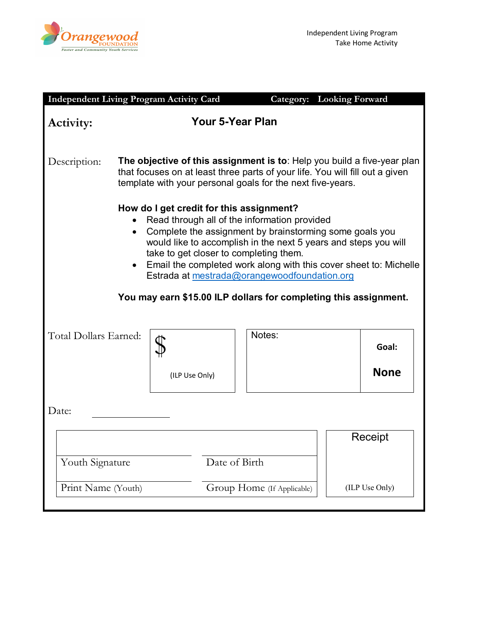

| <b>Independent Living Program Activity Card</b>                                                                                                                                                                                                                                                                                                                                                                                                                        |                                                                                                                                                                                                                       |                |                            | <b>Category:</b> Looking Forward |                      |  |  |
|------------------------------------------------------------------------------------------------------------------------------------------------------------------------------------------------------------------------------------------------------------------------------------------------------------------------------------------------------------------------------------------------------------------------------------------------------------------------|-----------------------------------------------------------------------------------------------------------------------------------------------------------------------------------------------------------------------|----------------|----------------------------|----------------------------------|----------------------|--|--|
| Activity:                                                                                                                                                                                                                                                                                                                                                                                                                                                              | Your 5-Year Plan                                                                                                                                                                                                      |                |                            |                                  |                      |  |  |
| Description:                                                                                                                                                                                                                                                                                                                                                                                                                                                           | The objective of this assignment is to: Help you build a five-year plan<br>that focuses on at least three parts of your life. You will fill out a given<br>template with your personal goals for the next five-years. |                |                            |                                  |                      |  |  |
| How do I get credit for this assignment?<br>Read through all of the information provided<br>Complete the assignment by brainstorming some goals you<br>$\bullet$<br>would like to accomplish in the next 5 years and steps you will<br>take to get closer to completing them.<br>Email the completed work along with this cover sheet to: Michelle<br>Estrada at mestrada@orangewoodfoundation.org<br>You may earn \$15.00 ILP dollars for completing this assignment. |                                                                                                                                                                                                                       |                |                            |                                  |                      |  |  |
| Total Dollars Earned:                                                                                                                                                                                                                                                                                                                                                                                                                                                  |                                                                                                                                                                                                                       | (ILP Use Only) | Notes:                     |                                  | Goal:<br><b>None</b> |  |  |
| Date:                                                                                                                                                                                                                                                                                                                                                                                                                                                                  |                                                                                                                                                                                                                       |                |                            |                                  |                      |  |  |
|                                                                                                                                                                                                                                                                                                                                                                                                                                                                        |                                                                                                                                                                                                                       |                |                            |                                  | Receipt              |  |  |
| Youth Signature                                                                                                                                                                                                                                                                                                                                                                                                                                                        |                                                                                                                                                                                                                       |                | Date of Birth              |                                  |                      |  |  |
| Print Name (Youth)                                                                                                                                                                                                                                                                                                                                                                                                                                                     |                                                                                                                                                                                                                       |                | Group Home (If Applicable) |                                  | (ILP Use Only)       |  |  |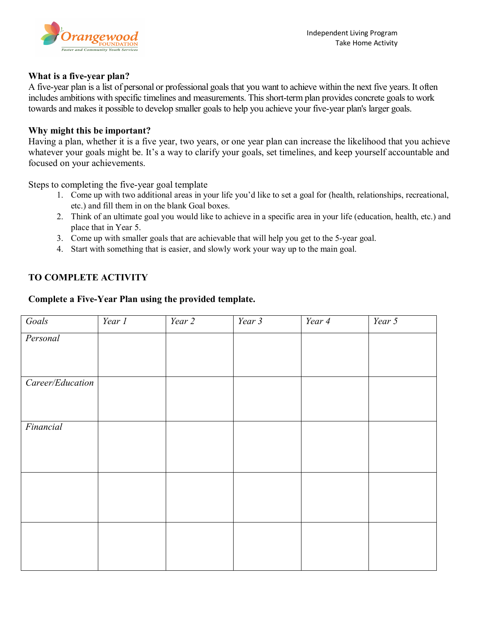



## **What is a five-year plan?**

A five-year plan is a list of personal or professional goals that you want to achieve within the next five years. It often includes ambitions with specific timelines and measurements. This short-term plan provides concrete goals to work towards and makes it possible to develop smaller goals to help you achieve your five-year plan's larger goals.

### **Why might this be important?**

Having a plan, whether it is a five year, two years, or one year plan can increase the likelihood that you achieve whatever your goals might be. It's a way to clarify your goals, set timelines, and keep yourself accountable and focused on your achievements.

Steps to completing the five-year goal template

- 1. Come up with two additional areas in your life you'd like to set a goal for (health, relationships, recreational, etc.) and fill them in on the blank Goal boxes.
- 2. Think of an ultimate goal you would like to achieve in a specific area in your life (education, health, etc.) and place that in Year 5.
- 3. Come up with smaller goals that are achievable that will help you get to the 5-year goal.
- 4. Start with something that is easier, and slowly work your way up to the main goal.

## **TO COMPLETE ACTIVITY**

### **Complete a Five-Year Plan using the provided template.**

| Goals            | Year 1 | Year 2 | $\overline{Year}$ 3 | $\overline{Year}$ 4 | $\overline{Year}$ 5 |
|------------------|--------|--------|---------------------|---------------------|---------------------|
| Personal         |        |        |                     |                     |                     |
|                  |        |        |                     |                     |                     |
|                  |        |        |                     |                     |                     |
| Career/Education |        |        |                     |                     |                     |
|                  |        |        |                     |                     |                     |
|                  |        |        |                     |                     |                     |
| Financial        |        |        |                     |                     |                     |
|                  |        |        |                     |                     |                     |
|                  |        |        |                     |                     |                     |
|                  |        |        |                     |                     |                     |
|                  |        |        |                     |                     |                     |
|                  |        |        |                     |                     |                     |
|                  |        |        |                     |                     |                     |
|                  |        |        |                     |                     |                     |
|                  |        |        |                     |                     |                     |